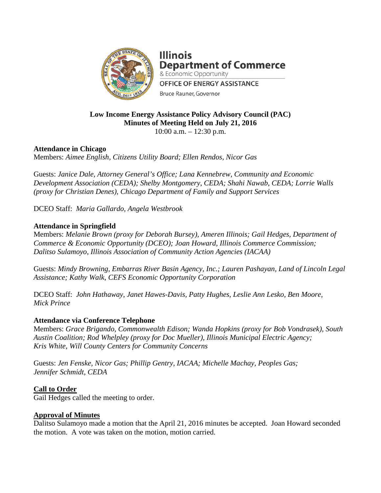

**Illinois Department of Commerce** & Economic Opportunity **OFFICE OF ENERGY ASSISTANCE Bruce Rauner, Governor** 

# **Low Income Energy Assistance Policy Advisory Council (PAC) Minutes of Meeting Held on July 21, 2016**

10:00 a.m. – 12:30 p.m.

# **Attendance in Chicago**

Members: *Aimee English, Citizens Utility Board; Ellen Rendos, Nicor Gas* 

Guests: *Janice Dale, Attorney General's Office; Lana Kennebrew, Community and Economic Development Association (CEDA); Shelby Montgomery, CEDA; Shahi Nawab, CEDA; Lorrie Walls (proxy for Christian Denes), Chicago Department of Family and Support Services*

DCEO Staff: *Maria Gallardo, Angela Westbrook*

## **Attendance in Springfield**

Members: *Melanie Brown (proxy for Deborah Bursey), Ameren Illinois; Gail Hedges, Department of Commerce & Economic Opportunity (DCEO); Joan Howard, Illinois Commerce Commission; Dalitso Sulamoyo, Illinois Association of Community Action Agencies (IACAA)*

Guests: *Mindy Browning, Embarras River Basin Agency, Inc.; Lauren Pashayan, Land of Lincoln Legal Assistance; Kathy Walk, CEFS Economic Opportunity Corporation*

DCEO Staff: *John Hathaway, Janet Hawes-Davis, Patty Hughes, Leslie Ann Lesko, Ben Moore, Mick Prince*

#### **Attendance via Conference Telephone**

Members: *Grace Brigando, Commonwealth Edison; Wanda Hopkins (proxy for Bob Vondrasek), South Austin Coalition; Rod Whelpley (proxy for Doc Mueller), Illinois Municipal Electric Agency; Kris White, Will County Centers for Community Concerns*

Guests: *Jen Fenske, Nicor Gas; Phillip Gentry, IACAA; Michelle Machay, Peoples Gas; Jennifer Schmidt, CEDA* 

# **Call to Order**

Gail Hedges called the meeting to order.

#### **Approval of Minutes**

Dalitso Sulamoyo made a motion that the April 21, 2016 minutes be accepted. Joan Howard seconded the motion. A vote was taken on the motion, motion carried.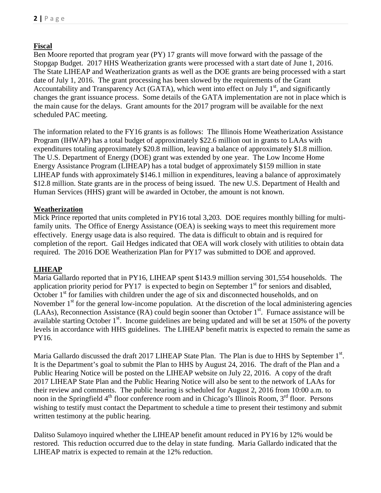# **Fiscal**

Ben Moore reported that program year (PY) 17 grants will move forward with the passage of the Stopgap Budget. 2017 HHS Weatherization grants were processed with a start date of June 1, 2016. The State LIHEAP and Weatherization grants as well as the DOE grants are being processed with a start date of July 1, 2016. The grant processing has been slowed by the requirements of the Grant Accountability and Transparency Act (GATA), which went into effect on July  $1<sup>st</sup>$ , and significantly changes the grant issuance process. Some details of the GATA implementation are not in place which is the main cause for the delays. Grant amounts for the 2017 program will be available for the next scheduled PAC meeting.

The information related to the FY16 grants is as follows: The Illinois Home Weatherization Assistance Program (IHWAP) has a total budget of approximately \$22.6 million out in grants to LAAs with expenditures totaling approximately \$20.8 million, leaving a balance of approximately \$1.8 million. The U.S. Department of Energy (DOE) grant was extended by one year. The Low Income Home Energy Assistance Program (LIHEAP) has a total budget of approximately \$159 million in state LIHEAP funds with approximately \$146.1 million in expenditures, leaving a balance of approximately \$12.8 million. State grants are in the process of being issued. The new U.S. Department of Health and Human Services (HHS) grant will be awarded in October, the amount is not known.

#### **Weatherization**

Mick Prince reported that units completed in PY16 total 3,203. DOE requires monthly billing for multifamily units. The Office of Energy Assistance (OEA) is seeking ways to meet this requirement more effectively. Energy usage data is also required. The data is difficult to obtain and is required for completion of the report. Gail Hedges indicated that OEA will work closely with utilities to obtain data required. The 2016 DOE Weatherization Plan for PY17 was submitted to DOE and approved.

#### **LIHEAP**

Maria Gallardo reported that in PY16, LIHEAP spent \$143.9 million serving 301,554 households. The application priority period for  $PY17$  is expected to begin on September  $1<sup>st</sup>$  for seniors and disabled, October 1<sup>st</sup> for families with children under the age of six and disconnected households, and on November  $1<sup>st</sup>$  for the general low-income population. At the discretion of the local administering agencies (LAAs), Reconnection Assistance (RA) could begin sooner than October  $1<sup>st</sup>$ . Furnace assistance will be available starting October  $1<sup>st</sup>$ . Income guidelines are being updated and will be set at 150% of the poverty levels in accordance with HHS guidelines. The LIHEAP benefit matrix is expected to remain the same as PY16.

Maria Gallardo discussed the draft 2017 LIHEAP State Plan. The Plan is due to HHS by September 1<sup>st</sup>. It is the Department's goal to submit the Plan to HHS by August 24, 2016. The draft of the Plan and a Public Hearing Notice will be posted on the LIHEAP website on July 22, 2016. A copy of the draft 2017 LIHEAP State Plan and the Public Hearing Notice will also be sent to the network of LAAs for their review and comments. The public hearing is scheduled for August 2, 2016 from 10:00 a.m. to noon in the Springfield  $4<sup>th</sup>$  floor conference room and in Chicago's Illinois Room,  $3<sup>rd</sup>$  floor. Persons wishing to testify must contact the Department to schedule a time to present their testimony and submit written testimony at the public hearing.

Dalitso Sulamoyo inquired whether the LIHEAP benefit amount reduced in PY16 by 12% would be restored. This reduction occurred due to the delay in state funding. Maria Gallardo indicated that the LIHEAP matrix is expected to remain at the 12% reduction.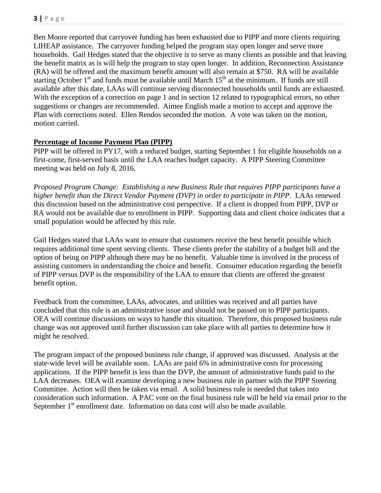Ben Moore reported that carryover funding has been exhausted due to PIPP and more clients requiring LIHEAP assistance. The carryover funding helped the program stay open longer and serve more households. Gail Hedges stated that the objective is to serve as many clients as possible and that leaving the benefit matrix as is will help the program to stay open longer. In addition, Reconnection Assistance (RA) will be offered and the maximum benefit amount will also remain at \$750. RA will be available starting October  $1<sup>st</sup>$  and funds must be available until March  $15<sup>th</sup>$  at the minimum. If funds are still available after this date, LAAs will continue serving disconnected households until funds are exhausted. With the exception of a correction on page 1 and in section 12 related to typographical errors, no other suggestions or changes are recommended. Aimee English made a motion to accept and approve the Plan with corrections noted. Ellen Rendos seconded the motion. A vote was taken on the motion, motion carried.

## **Percentage of Income Payment Plan (PIPP)**

PIPP will be offered in PY17, with a reduced budget, starting September 1 for eligible households on a first-come, first-served basis until the LAA reaches budget capacity. A PIPP Steering Committee meeting was held on July 8, 2016.

*Proposed Program Change: Establishing a new Business Rule that requires PIPP participants have a higher benefit than the Direct Vendor Payment (DVP) in order to participate in PIPP*. LAAs renewed this discussion based on the administrative cost perspective. If a client is dropped from PIPP, DVP or RA would not be available due to enrollment in PIPP. Supporting data and client choice indicates that a small population would be affected by this rule.

Gail Hedges stated that LAAs want to ensure that customers receive the best benefit possible which requires additional time spent serving clients. These clients prefer the stability of a budget bill and the option of being on PIPP although there may be no benefit. Valuable time is involved in the process of assisting customers in understanding the choice and benefit. Consumer education regarding the benefit of PIPP versus DVP is the responsibility of the LAA to ensure that clients are offered the greatest benefit option.

Feedback from the committee, LAAs, advocates, and utilities was received and all parties have concluded that this rule is an administrative issue and should not be passed on to PIPP participants. OEA will continue discussions on ways to handle this situation. Therefore, this proposed business rule change was not approved until further discussion can take place with all parties to determine how it might be resolved.

The program impact of the proposed business rule change, if approved was discussed. Analysis at the state-wide level will be available soon. LAAs are paid 6% in administrative costs for processing applications. If the PIPP benefit is less than the DVP, the amount of administrative funds paid to the LAA decreases. OEA will examine developing a new business rule in partner with the PIPP Steering Committee. Action will then be taken via email. A solid business rule is needed that takes into consideration such information. A PAC vote on the final business rule will be held via email prior to the September  $1<sup>st</sup>$  enrollment date. Information on data cost will also be made available.